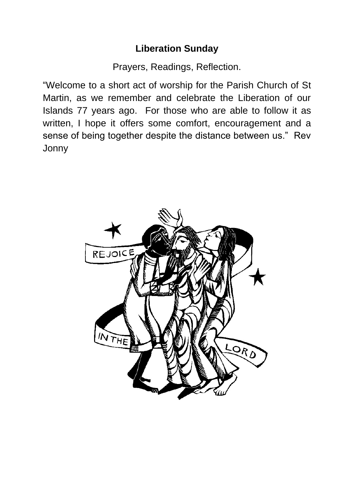### **Liberation Sunday**

Prayers, Readings, Reflection.

"Welcome to a short act of worship for the Parish Church of St Martin, as we remember and celebrate the Liberation of our Islands 77 years ago. For those who are able to follow it as written, I hope it offers some comfort, encouragement and a sense of being together despite the distance between us." Rev Jonny

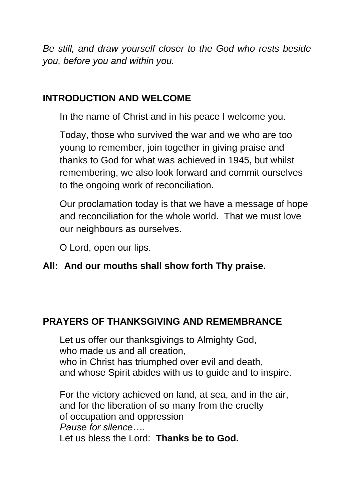*Be still, and draw yourself closer to the God who rests beside you, before you and within you.*

## **INTRODUCTION AND WELCOME**

In the name of Christ and in his peace I welcome you.

Today, those who survived the war and we who are too young to remember, join together in giving praise and thanks to God for what was achieved in 1945, but whilst remembering, we also look forward and commit ourselves to the ongoing work of reconciliation.

Our proclamation today is that we have a message of hope and reconciliation for the whole world. That we must love our neighbours as ourselves.

O Lord, open our lips.

### **All: And our mouths shall show forth Thy praise.**

# **PRAYERS OF THANKSGIVING AND REMEMBRANCE**

Let us offer our thanksgivings to Almighty God, who made us and all creation. who in Christ has triumphed over evil and death, and whose Spirit abides with us to guide and to inspire.

For the victory achieved on land, at sea, and in the air, and for the liberation of so many from the cruelty of occupation and oppression *Pause for silence….* Let us bless the Lord: **Thanks be to God.**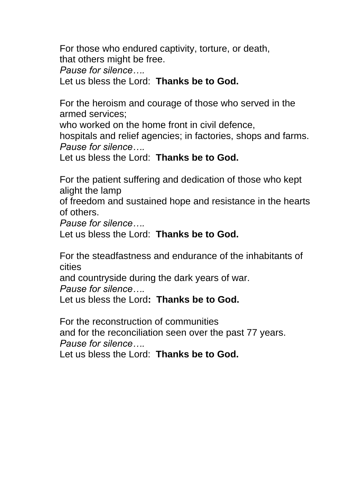For those who endured captivity, torture, or death, that others might be free. *Pause for silence….* Let us bless the Lord: **Thanks be to God.**

For the heroism and courage of those who served in the armed services;

who worked on the home front in civil defence,

hospitals and relief agencies; in factories, shops and farms. *Pause for silence….*

Let us bless the Lord: **Thanks be to God.**

For the patient suffering and dedication of those who kept alight the lamp

of freedom and sustained hope and resistance in the hearts of others.

*Pause for silence….*

Let us bless the Lord: **Thanks be to God.**

For the steadfastness and endurance of the inhabitants of cities

and countryside during the dark years of war.

*Pause for silence….*

Let us bless the Lord**: Thanks be to God.**

For the reconstruction of communities and for the reconciliation seen over the past 77 years. *Pause for silence….*

Let us bless the Lord: **Thanks be to God.**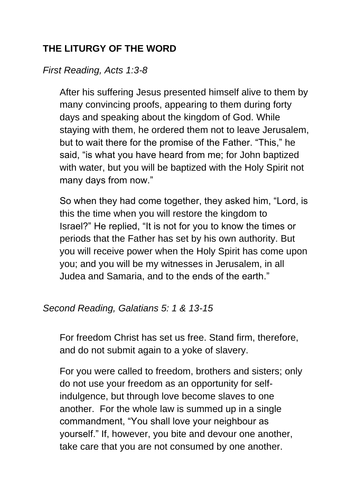## **THE LITURGY OF THE WORD**

### *First Reading, Acts 1:3-8*

After his suffering Jesus presented himself alive to them by many convincing proofs, appearing to them during forty days and speaking about the kingdom of God. While staying with them, he ordered them not to leave Jerusalem, but to wait there for the promise of the Father. "This," he said, "is what you have heard from me; for John baptized with water, but you will be baptized with the Holy Spirit not many days from now."

So when they had come together, they asked him, "Lord, is this the time when you will restore the kingdom to Israel?" He replied, "It is not for you to know the times or periods that the Father has set by his own authority. But you will receive power when the Holy Spirit has come upon you; and you will be my witnesses in Jerusalem, in all Judea and Samaria, and to the ends of the earth."

#### *Second Reading, Galatians 5: 1 & 13-15*

For freedom Christ has set us free. Stand firm, therefore, and do not submit again to a yoke of slavery.

For you were called to freedom, brothers and sisters; only do not use your freedom as an opportunity for selfindulgence, but through love become slaves to one another. For the whole law is summed up in a single commandment, "You shall love your neighbour as yourself." If, however, you bite and devour one another, take care that you are not consumed by one another.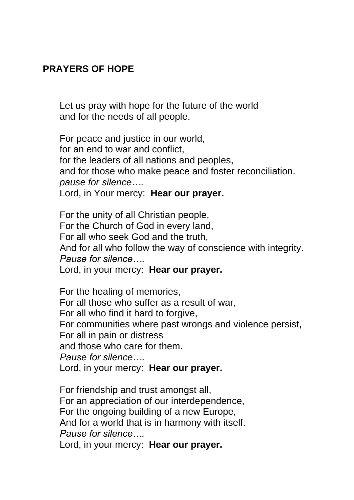### **PRAYERS OF HOPE**

Let us pray with hope for the future of the world and for the needs of all people.

For peace and justice in our world, for an end to war and conflict, for the leaders of all nations and peoples, and for those who make peace and foster reconciliation. *pause for silence….* Lord, in Your mercy: **Hear our prayer.**

For the unity of all Christian people, For the Church of God in every land, For all who seek God and the truth, And for all who follow the way of conscience with integrity. *Pause for silence….* Lord, in your mercy: **Hear our prayer.**

For the healing of memories, For all those who suffer as a result of war, For all who find it hard to forgive, For communities where past wrongs and violence persist, For all in pain or distress and those who care for them. *Pause for silence….* Lord, in your mercy: **Hear our prayer.**

For friendship and trust amongst all, For an appreciation of our interdependence, For the ongoing building of a new Europe, And for a world that is in harmony with itself. *Pause for silence….* Lord, in your mercy: **Hear our prayer.**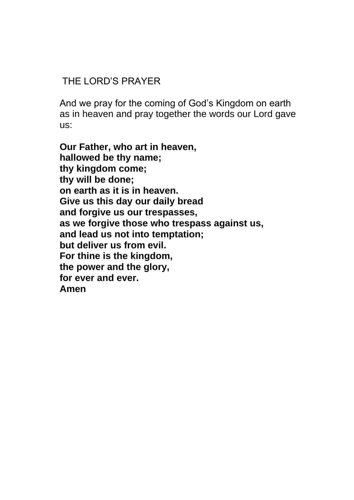### THE LORD'S PRAYER

And we pray for the coming of God's Kingdom on earth as in heaven and pray together the words our Lord gave us:

**Our Father, who art in heaven, hallowed be thy name; thy kingdom come; thy will be done; on earth as it is in heaven. Give us this day our daily bread and forgive us our trespasses, as we forgive those who trespass against us, and lead us not into temptation; but deliver us from evil. For thine is the kingdom, the power and the glory, for ever and ever. Amen**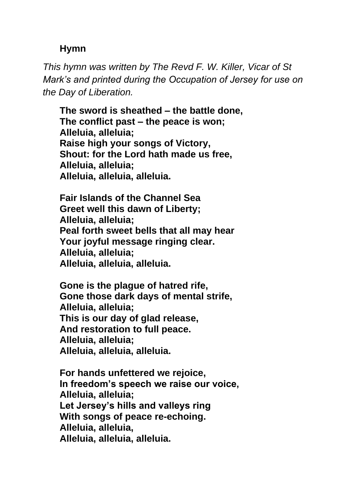#### **Hymn**

*This hymn was written by The Revd F. W. Killer, Vicar of St Mark's and printed during the Occupation of Jersey for use on the Day of Liberation.*

**The sword is sheathed – the battle done, The conflict past – the peace is won; Alleluia, alleluia; Raise high your songs of Victory, Shout: for the Lord hath made us free, Alleluia, alleluia; Alleluia, alleluia, alleluia.** 

**Fair Islands of the Channel Sea Greet well this dawn of Liberty; Alleluia, alleluia; Peal forth sweet bells that all may hear Your joyful message ringing clear. Alleluia, alleluia; Alleluia, alleluia, alleluia.**

**Gone is the plague of hatred rife, Gone those dark days of mental strife, Alleluia, alleluia; This is our day of glad release, And restoration to full peace. Alleluia, alleluia; Alleluia, alleluia, alleluia.**

**For hands unfettered we rejoice, In freedom's speech we raise our voice, Alleluia, alleluia; Let Jersey's hills and valleys ring With songs of peace re-echoing. Alleluia, alleluia, Alleluia, alleluia, alleluia.**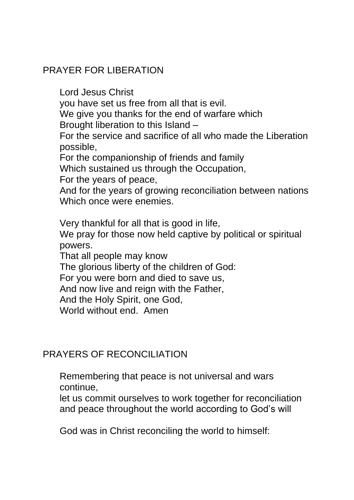### PRAYER FOR LIBERATION

Lord Jesus Christ you have set us free from all that is evil. We give you thanks for the end of warfare which Brought liberation to this Island – For the service and sacrifice of all who made the Liberation possible, For the companionship of friends and family Which sustained us through the Occupation, For the years of peace, And for the years of growing reconciliation between nations Which once were enemies. Very thankful for all that is good in life,

We pray for those now held captive by political or spiritual powers.

That all people may know

The glorious liberty of the children of God:

For you were born and died to save us,

And now live and reign with the Father,

And the Holy Spirit, one God,

World without end. Amen

### PRAYERS OF RECONCILIATION

Remembering that peace is not universal and wars continue,

let us commit ourselves to work together for reconciliation and peace throughout the world according to God's will

God was in Christ reconciling the world to himself: